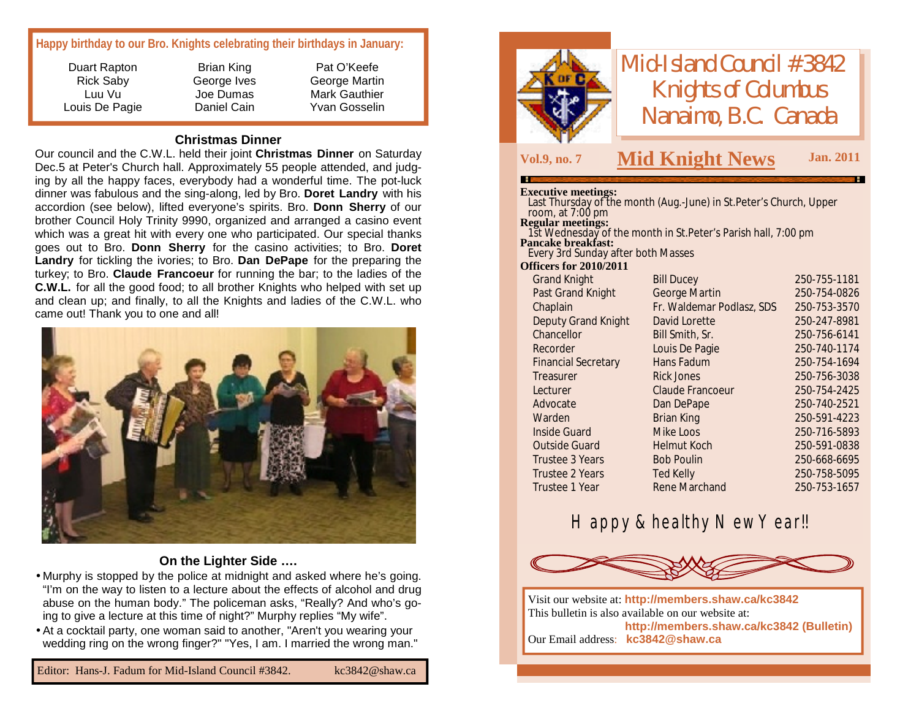### **Happy birthday to our Bro. Knights celebrating their birthdays in January:**

Duart Rapton Rick Saby Luu Vu Louis De Pagie

Brian King George Ives Joe Dumas Daniel Cain

Pat O'Keefe George Martin Mark Gauthier Yvan Gosselin

### **Christmas Dinner**

Our council and the C.W.L. held their joint **Christmas Dinner** on Saturday Dec.5 at Peter's Church hall. Approximately 55 people attended, and judging by all the happy faces, everybody had a wonderful time. The pot-luck dinner was fabulous and the sing-along, led by Bro. **Doret Landry** with his accordion (see below), lifted everyone's spirits. Bro. **Donn Sherry** of our brother Council Holy Trinity 9990, organized and arranged a casino event which was a great hit with every one who participated. Our special thanks goes out to Bro. **Donn Sherry** for the casino activities; to Bro. **Doret Landry** for tickling the ivories; to Bro. **Dan DePape** for the preparing the turkey; to Bro. **Claude Francoeur** for running the bar; to the ladies of the **C.W.L.** for all the good food; to all brother Knights who helped with set up and clean up; and finally, to all the Knights and ladies of the C.W.L. who came out! Thank you to one and all!



### **On the Lighter Side ….**

- •Murphy is stopped by the police at midnight and asked where he's going. "I'm on the way to listen to a lecture about the effects of alcohol and drug abuse on the human body." The policeman asks, "Really? And who's going to give a lecture at this time of night?" Murphy replies "My wife".
- •At a cocktail party, one woman said to another, "Aren't you wearing your wedding ring on the wrong finger?" "Yes, I am. I married the wrong man."



## *Mid-Island Council #3842 Knights of Columbus Nanaimo, B.C. Canada*

### **Vol.9, no. <sup>7</sup> M Jan. <sup>2011</sup> id Knight News**

#### **Executive meetings:**

| елесии те шеспиру.                 |                                                                                    |              |
|------------------------------------|------------------------------------------------------------------------------------|--------------|
|                                    | Last Thursday of the month (Aug.-June) in St. Peter's Church, Upper                |              |
| room, at $7:00$ pm                 |                                                                                    |              |
|                                    | Regular meetings:<br>1st Wednesday of the month in St.Peter's Parish hall, 7:00 pm |              |
| <b>Pancake breakfast:</b>          |                                                                                    |              |
| Every 3rd Sunday after both Masses |                                                                                    |              |
| <b>Officers for 2010/2011</b>      |                                                                                    |              |
| Grand Knight                       | <b>Bill Ducey</b>                                                                  | 250-755-1181 |
| Past Grand Knight                  | <b>George Martin</b>                                                               | 250-754-0826 |
| Chaplain                           | Fr. Waldemar Podlasz, SDS                                                          | 250-753-3570 |
| Deputy Grand Knight                | David Lorette                                                                      | 250-247-8981 |
| Chancellor                         | Bill Smith, Sr.                                                                    | 250-756-6141 |
| Recorder                           | Louis De Pagie                                                                     | 250-740-1174 |
| <b>Financial Secretary</b>         | Hans Fadum                                                                         | 250-754-1694 |
| Treasurer                          | <b>Rick Jones</b>                                                                  | 250-756-3038 |
| Lecturer                           | Claude Francoeur                                                                   | 250-754-2425 |
| Advocate                           | Dan DePape                                                                         | 250-740-2521 |
| Warden                             | <b>Brian King</b>                                                                  | 250-591-4223 |
| Inside Guard                       | Mike Loos                                                                          | 250-716-5893 |
| <b>Outside Guard</b>               | <b>Helmut Koch</b>                                                                 | 250-591-0838 |
| Trustee 3 Years                    | <b>Bob Poulin</b>                                                                  | 250-668-6695 |
| Trustee 2 Years                    | <b>Ted Kelly</b>                                                                   | 250-758-5095 |
| <b>Trustee 1 Year</b>              | Rene Marchand                                                                      | 250-753-1657 |
|                                    |                                                                                    |              |

### Happy & healthy New Year!!



Visit our website at: **<http://members.shaw.ca/kc3842>** This bulletin is also available on our website at: **<http://members.shaw.ca/kc3842> (Bulletin)** Our Email address: **[kc3842@shaw.ca](mailto:kc3842@shaw.ca)**